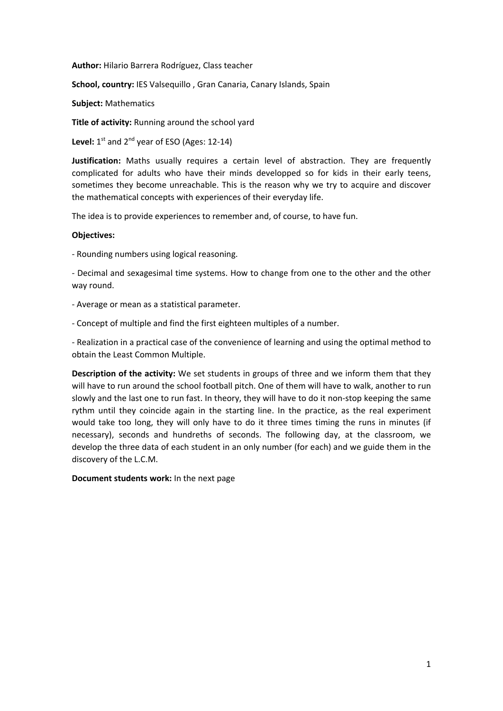**Author:** Hilario Barrera Rodríguez, Class teacher

**School, country:** IES Valsequillo , Gran Canaria, Canary Islands, Spain

**Subject:** Mathematics

**Title of activity:** Running around the school yard

Level: 1<sup>st</sup> and 2<sup>nd</sup> year of ESO (Ages: 12-14)

Justification: Maths usually requires a certain level of abstraction. They are frequently complicated for adults who have their minds developped so for kids in their early teens, sometimes they become unreachable. This is the reason why we try to acquire and discover the mathematical concepts with experiences of their everyday life.

The idea is to provide experiences to remember and, of course, to have fun.

#### **Objectives:**

‐ Rounding numbers using logical reasoning.

‐ Decimal and sexagesimal time systems. How to change from one to the other and the other way round.

‐ Average or mean as a statistical parameter.

‐ Concept of multiple and find the first eighteen multiples of a number.

‐ Realization in a practical case of the convenience of learning and using the optimal method to obtain the Least Common Multiple.

**Description of the activity:** We set students in groups of three and we inform them that they will have to run around the school football pitch. One of them will have to walk, another to run slowly and the last one to run fast. In theory, they will have to do it non‐stop keeping the same rythm until they coincide again in the starting line. In the practice, as the real experiment would take too long, they will only have to do it three times timing the runs in minutes (if necessary), seconds and hundreths of seconds. The following day, at the classroom, we develop the three data of each student in an only number (for each) and we guide them in the discovery of the L.C.M.

**Document students work:** In the next page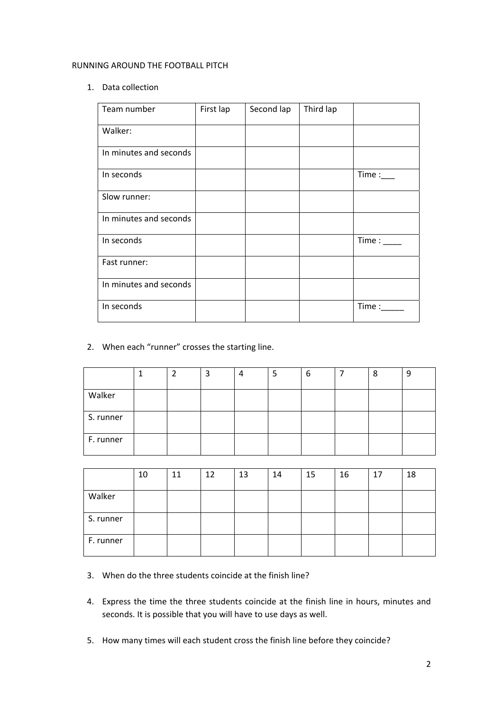## RUNNING AROUND THE FOOTBALL PITCH

## 1. Data collection

| Team number            | First lap | Second lap | Third lap |               |
|------------------------|-----------|------------|-----------|---------------|
| Walker:                |           |            |           |               |
| In minutes and seconds |           |            |           |               |
| In seconds             |           |            |           | Time:         |
| Slow runner:           |           |            |           |               |
| In minutes and seconds |           |            |           |               |
| In seconds             |           |            |           | Time : $\_\_$ |
| Fast runner:           |           |            |           |               |
| In minutes and seconds |           |            |           |               |
| In seconds             |           |            |           | Time:         |

# 2. When each "runner" crosses the starting line.

|           |  | 3 | 4 | b | 8 | ч |
|-----------|--|---|---|---|---|---|
| Walker    |  |   |   |   |   |   |
| S. runner |  |   |   |   |   |   |
| F. runner |  |   |   |   |   |   |

|           | 10 | 11 | 12 | 13 | 14 | 15 | 16 | 17 | 18 |
|-----------|----|----|----|----|----|----|----|----|----|
| Walker    |    |    |    |    |    |    |    |    |    |
| S. runner |    |    |    |    |    |    |    |    |    |
| F. runner |    |    |    |    |    |    |    |    |    |

- 3. When do the three students coincide at the finish line?
- 4. Express the time the three students coincide at the finish line in hours, minutes and seconds. It is possible that you will have to use days as well.
- 5. How many times will each student cross the finish line before they coincide?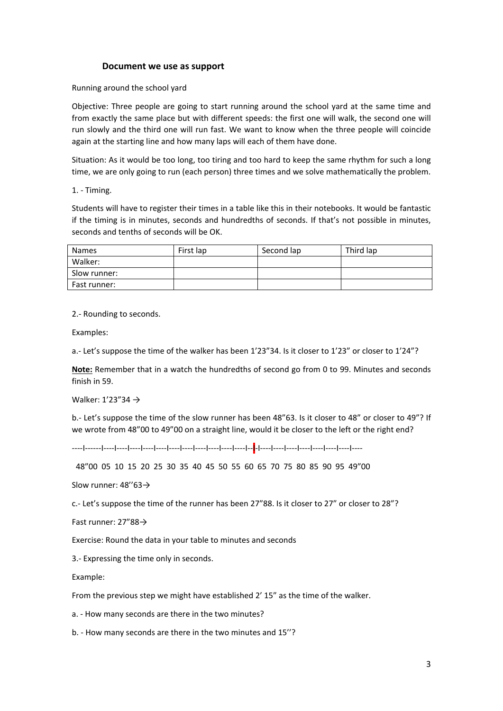### **Document we use as support**

Running around the school yard

Objective: Three people are going to start running around the school yard at the same time and from exactly the same place but with different speeds: the first one will walk, the second one will run slowly and the third one will run fast. We want to know when the three people will coincide again at the starting line and how many laps will each of them have done.

Situation: As it would be too long, too tiring and too hard to keep the same rhythm for such a long time, we are only going to run (each person) three times and we solve mathematically the problem.

1. ‐ Timing.

Students will have to register their times in a table like this in their notebooks. It would be fantastic if the timing is in minutes, seconds and hundredths of seconds. If that's not possible in minutes, seconds and tenths of seconds will be OK.

| <b>Names</b> | First lap | Second lap | Third lap |
|--------------|-----------|------------|-----------|
| Walker:      |           |            |           |
| Slow runner: |           |            |           |
| Fast runner: |           |            |           |

2.‐ Rounding to seconds.

Examples:

a.‐ Let's suppose the time of the walker has been 1'23"34. Is it closer to 1'23" or closer to 1'24"?

**Note:** Remember that in a watch the hundredths of second go from 0 to 99. Minutes and seconds finish in 59.

Walker: 1'23"34 →

b.- Let's suppose the time of the slow runner has been 48"63. Is it closer to 48" or closer to 49"? If we wrote from 48"00 to 49"00 on a straight line, would it be closer to the left or the right end?

‐‐‐‐I‐‐‐‐‐‐I‐‐‐‐I‐‐‐‐I‐‐‐‐I‐‐‐‐I‐‐‐‐I‐‐‐‐I‐‐‐‐I‐‐‐‐I‐‐‐‐I‐‐‐‐I‐‐‐‐I‐‐I‐I‐‐‐‐I‐‐‐‐I‐‐‐‐I‐‐‐‐I‐‐‐‐I‐‐‐‐I‐‐‐‐I‐‐‐‐

48"00 05 10 15 20 25 30 35 40 45 50 55 60 65 70 75 80 85 90 95 49"00

Slow runner: 48''63→

c.‐ Let's suppose the time of the runner has been 27"88. Is it closer to 27" or closer to 28"?

Fast runner: 27"88→

Exercise: Round the data in your table to minutes and seconds

3.‐ Expressing the time only in seconds.

Example:

From the previous step we might have established 2' 15" as the time of the walker.

a. ‐ How many seconds are there in the two minutes?

b. ‐ How many seconds are there in the two minutes and 15''?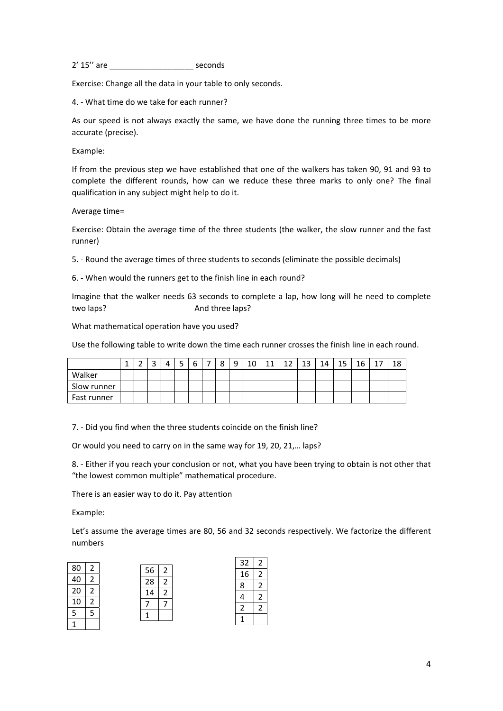2' 15'' are \_\_\_\_\_\_\_\_\_\_\_\_\_\_\_\_\_\_\_ seconds

Exercise: Change all the data in your table to only seconds.

4. ‐ What time do we take for each runner?

As our speed is not always exactly the same, we have done the running three times to be more accurate (precise).

Example:

If from the previous step we have established that one of the walkers has taken 90, 91 and 93 to complete the different rounds, how can we reduce these three marks to only one? The final qualification in any subject might help to do it.

Average time=

Exercise: Obtain the average time of the three students (the walker, the slow runner and the fast runner)

5. ‐ Round the average times of three students to seconds (eliminate the possible decimals)

6. ‐ When would the runners get to the finish line in each round?

Imagine that the walker needs 63 seconds to complete a lap, how long will he need to complete two laps? 
and three laps?

What mathematical operation have you used?

Use the following table to write down the time each runner crosses the finish line in each round.

|             | - |  | ∽<br>ь | $\circ$<br>Ο | $\Omega$ | 10 | 11 | 12<br>∸ | 12<br>ᅩ | 14 | 15<br>∸∸ | 16 | л | ŦΟ |
|-------------|---|--|--------|--------------|----------|----|----|---------|---------|----|----------|----|---|----|
| Walker      |   |  |        |              |          |    |    |         |         |    |          |    |   |    |
| Slow runner |   |  |        |              |          |    |    |         |         |    |          |    |   |    |
| Fast runner |   |  |        |              |          |    |    |         |         |    |          |    |   |    |

7. ‐ Did you find when the three students coincide on the finish line?

Or would you need to carry on in the same way for 19, 20, 21,… laps?

8. ‐ Either if you reach your conclusion or not, what you have been trying to obtain is not other that "the lowest common multiple" mathematical procedure.

There is an easier way to do it. Pay attention

Example:

Let's assume the average times are 80, 56 and 32 seconds respectively. We factorize the different numbers

2 2

|    |   |    |   | 32 | $\mathcal{P}$  |
|----|---|----|---|----|----------------|
| 80 | 2 | 56 | 2 | 16 | $\mathcal{P}$  |
|    | 2 | 28 | 2 | 8  | $\mathcal{P}$  |
| 20 | 2 | 14 | 2 |    |                |
| 10 | 2 |    |   |    | $\mathfrak{D}$ |
|    |   |    |   |    | $\mathfrak{p}$ |
|    |   |    |   |    |                |
|    |   |    |   |    |                |